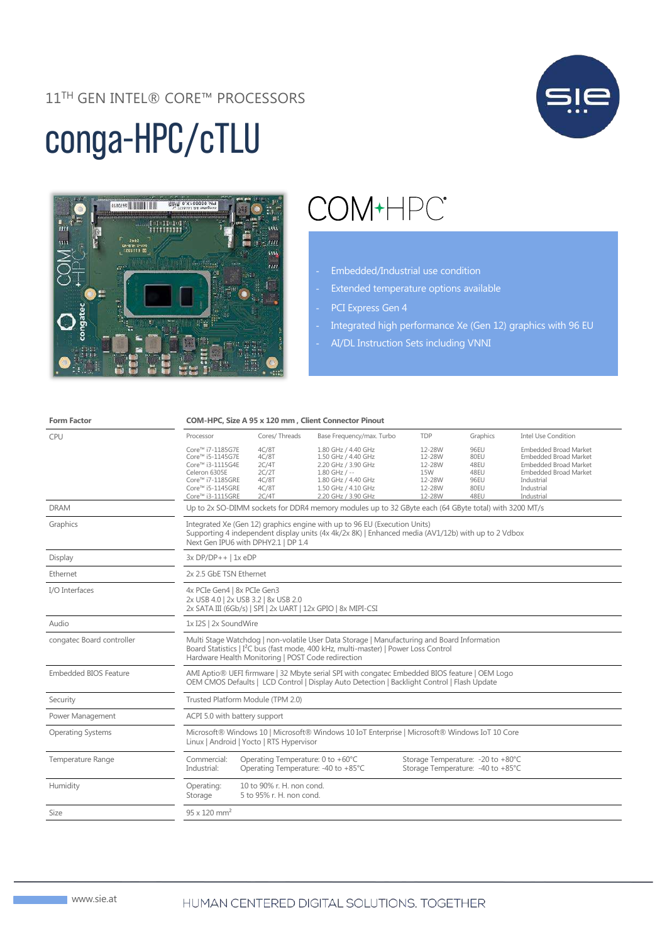#### 11TH GEN INTEL® CORE™ PROCESSORS

# conga-HPC/cTLU





## COM+HPC<sup>®</sup>

- Embedded/Industrial use condition
- Extended temperature options available
- PCI Express Gen 4
- Integrated high performance Xe (Gen 12) graphics with 96 EU
- AI/DL Instruction Sets including VNNI

| Cores/Threads<br><b>TDP</b><br>Graphics<br><b>Intel Use Condition</b><br>Base Frequency/max. Turbo<br>CPU<br>Processor<br>12-28W<br>Core™ i7-1185G7E<br>4C/8T<br>1.80 GHz / 4.40 GHz<br>96EU<br><b>Embedded Broad Market</b><br>4C/8T<br>12-28W<br>80EU<br>Core™ i5-1145G7E<br>1.50 GHz / 4.40 GHz<br><b>Embedded Broad Market</b><br>12-28W<br>Core™ i3-1115G4E<br>2C/4T<br>2.20 GHz / 3.90 GHz<br>48EU<br><b>Embedded Broad Market</b><br>Celeron 6305E<br>2C/2T<br>$1.80$ GHz / $-$<br><b>15W</b><br>48EU<br><b>Embedded Broad Market</b><br>Core™ i7-1185GRE<br>4C/8T<br>1.80 GHz / 4.40 GHz<br>12-28W<br>96EU<br>Industrial<br>Core™ i5-1145GRE<br>4C/8T<br>1.50 GHz / 4.10 GHz<br>12-28W<br>80EU<br>Industrial<br>2C/4T<br>12-28W<br>48EU<br>Industrial<br>Core™ i3-1115GRE<br>2.20 GHz / 3.90 GHz<br>Up to 2x SO-DIMM sockets for DDR4 memory modules up to 32 GByte each (64 GByte total) with 3200 MT/s<br><b>DRAM</b><br>Graphics<br>Integrated Xe (Gen 12) graphics engine with up to 96 EU (Execution Units)<br>Supporting 4 independent display units (4x 4k/2x 8K)   Enhanced media (AV1/12b) with up to 2 Vdbox<br>Next Gen IPU6 with DPHY2.1   DP 1.4<br>$3xDP/DP++$   1x eDP<br>Display<br>2x 2.5 GbE TSN Ethernet<br>Ethernet<br>4x PCIe Gen4   8x PCIe Gen3<br>2x USB 4.0   2x USB 3.2   8x USB 2.0<br>2x SATA III (6Gb/s)   SPI   2x UART   12x GPIO   8x MIPI-CSI<br>Audio<br>1x I2S   2x SoundWire<br>congatec Board controller<br>Multi Stage Watchdog   non-volatile User Data Storage   Manufacturing and Board Information<br>Board Statistics   I <sup>2</sup> C bus (fast mode, 400 kHz, multi-master)   Power Loss Control<br>Hardware Health Monitoring   POST Code redirection<br><b>Embedded BIOS Feature</b><br>AMI Aptio® UEFI firmware   32 Mbyte serial SPI with congatec Embedded BIOS feature   OEM Logo<br>OEM CMOS Defaults   LCD Control   Display Auto Detection   Backlight Control   Flash Update<br>Trusted Platform Module (TPM 2.0)<br>Security<br>Power Management<br>ACPI 5.0 with battery support<br>Microsoft® Windows 10   Microsoft® Windows 10 IoT Enterprise   Microsoft® Windows IoT 10 Core<br><b>Operating Systems</b><br>Linux   Android   Yocto   RTS Hypervisor<br>Commercial:<br>Operating Temperature: 0 to +60°C<br>Storage Temperature: -20 to +80°C<br>Temperature Range<br>Industrial:<br>Operating Temperature: -40 to +85°C<br>Storage Temperature: -40 to +85°C<br>Humidity<br>10 to 90% r. H. non cond.<br>Operating:<br>5 to 95% r. H. non cond.<br>Storage | <b>Form Factor</b> | COM-HPC, Size A 95 x 120 mm, Client Connector Pinout |  |  |  |  |  |  |
|-------------------------------------------------------------------------------------------------------------------------------------------------------------------------------------------------------------------------------------------------------------------------------------------------------------------------------------------------------------------------------------------------------------------------------------------------------------------------------------------------------------------------------------------------------------------------------------------------------------------------------------------------------------------------------------------------------------------------------------------------------------------------------------------------------------------------------------------------------------------------------------------------------------------------------------------------------------------------------------------------------------------------------------------------------------------------------------------------------------------------------------------------------------------------------------------------------------------------------------------------------------------------------------------------------------------------------------------------------------------------------------------------------------------------------------------------------------------------------------------------------------------------------------------------------------------------------------------------------------------------------------------------------------------------------------------------------------------------------------------------------------------------------------------------------------------------------------------------------------------------------------------------------------------------------------------------------------------------------------------------------------------------------------------------------------------------------------------------------------------------------------------------------------------------------------------------------------------------------------------------------------------------------------------------------------------------------------------------------------------------------------------------------------------------------------------------------------------------------------------------------------------------------------|--------------------|------------------------------------------------------|--|--|--|--|--|--|
|                                                                                                                                                                                                                                                                                                                                                                                                                                                                                                                                                                                                                                                                                                                                                                                                                                                                                                                                                                                                                                                                                                                                                                                                                                                                                                                                                                                                                                                                                                                                                                                                                                                                                                                                                                                                                                                                                                                                                                                                                                                                                                                                                                                                                                                                                                                                                                                                                                                                                                                                     |                    |                                                      |  |  |  |  |  |  |
|                                                                                                                                                                                                                                                                                                                                                                                                                                                                                                                                                                                                                                                                                                                                                                                                                                                                                                                                                                                                                                                                                                                                                                                                                                                                                                                                                                                                                                                                                                                                                                                                                                                                                                                                                                                                                                                                                                                                                                                                                                                                                                                                                                                                                                                                                                                                                                                                                                                                                                                                     |                    |                                                      |  |  |  |  |  |  |
|                                                                                                                                                                                                                                                                                                                                                                                                                                                                                                                                                                                                                                                                                                                                                                                                                                                                                                                                                                                                                                                                                                                                                                                                                                                                                                                                                                                                                                                                                                                                                                                                                                                                                                                                                                                                                                                                                                                                                                                                                                                                                                                                                                                                                                                                                                                                                                                                                                                                                                                                     |                    |                                                      |  |  |  |  |  |  |
|                                                                                                                                                                                                                                                                                                                                                                                                                                                                                                                                                                                                                                                                                                                                                                                                                                                                                                                                                                                                                                                                                                                                                                                                                                                                                                                                                                                                                                                                                                                                                                                                                                                                                                                                                                                                                                                                                                                                                                                                                                                                                                                                                                                                                                                                                                                                                                                                                                                                                                                                     |                    |                                                      |  |  |  |  |  |  |
|                                                                                                                                                                                                                                                                                                                                                                                                                                                                                                                                                                                                                                                                                                                                                                                                                                                                                                                                                                                                                                                                                                                                                                                                                                                                                                                                                                                                                                                                                                                                                                                                                                                                                                                                                                                                                                                                                                                                                                                                                                                                                                                                                                                                                                                                                                                                                                                                                                                                                                                                     |                    |                                                      |  |  |  |  |  |  |
|                                                                                                                                                                                                                                                                                                                                                                                                                                                                                                                                                                                                                                                                                                                                                                                                                                                                                                                                                                                                                                                                                                                                                                                                                                                                                                                                                                                                                                                                                                                                                                                                                                                                                                                                                                                                                                                                                                                                                                                                                                                                                                                                                                                                                                                                                                                                                                                                                                                                                                                                     |                    |                                                      |  |  |  |  |  |  |
|                                                                                                                                                                                                                                                                                                                                                                                                                                                                                                                                                                                                                                                                                                                                                                                                                                                                                                                                                                                                                                                                                                                                                                                                                                                                                                                                                                                                                                                                                                                                                                                                                                                                                                                                                                                                                                                                                                                                                                                                                                                                                                                                                                                                                                                                                                                                                                                                                                                                                                                                     | I/O Interfaces     |                                                      |  |  |  |  |  |  |
|                                                                                                                                                                                                                                                                                                                                                                                                                                                                                                                                                                                                                                                                                                                                                                                                                                                                                                                                                                                                                                                                                                                                                                                                                                                                                                                                                                                                                                                                                                                                                                                                                                                                                                                                                                                                                                                                                                                                                                                                                                                                                                                                                                                                                                                                                                                                                                                                                                                                                                                                     |                    |                                                      |  |  |  |  |  |  |
|                                                                                                                                                                                                                                                                                                                                                                                                                                                                                                                                                                                                                                                                                                                                                                                                                                                                                                                                                                                                                                                                                                                                                                                                                                                                                                                                                                                                                                                                                                                                                                                                                                                                                                                                                                                                                                                                                                                                                                                                                                                                                                                                                                                                                                                                                                                                                                                                                                                                                                                                     |                    |                                                      |  |  |  |  |  |  |
|                                                                                                                                                                                                                                                                                                                                                                                                                                                                                                                                                                                                                                                                                                                                                                                                                                                                                                                                                                                                                                                                                                                                                                                                                                                                                                                                                                                                                                                                                                                                                                                                                                                                                                                                                                                                                                                                                                                                                                                                                                                                                                                                                                                                                                                                                                                                                                                                                                                                                                                                     |                    |                                                      |  |  |  |  |  |  |
|                                                                                                                                                                                                                                                                                                                                                                                                                                                                                                                                                                                                                                                                                                                                                                                                                                                                                                                                                                                                                                                                                                                                                                                                                                                                                                                                                                                                                                                                                                                                                                                                                                                                                                                                                                                                                                                                                                                                                                                                                                                                                                                                                                                                                                                                                                                                                                                                                                                                                                                                     |                    |                                                      |  |  |  |  |  |  |
|                                                                                                                                                                                                                                                                                                                                                                                                                                                                                                                                                                                                                                                                                                                                                                                                                                                                                                                                                                                                                                                                                                                                                                                                                                                                                                                                                                                                                                                                                                                                                                                                                                                                                                                                                                                                                                                                                                                                                                                                                                                                                                                                                                                                                                                                                                                                                                                                                                                                                                                                     |                    |                                                      |  |  |  |  |  |  |
|                                                                                                                                                                                                                                                                                                                                                                                                                                                                                                                                                                                                                                                                                                                                                                                                                                                                                                                                                                                                                                                                                                                                                                                                                                                                                                                                                                                                                                                                                                                                                                                                                                                                                                                                                                                                                                                                                                                                                                                                                                                                                                                                                                                                                                                                                                                                                                                                                                                                                                                                     |                    |                                                      |  |  |  |  |  |  |
|                                                                                                                                                                                                                                                                                                                                                                                                                                                                                                                                                                                                                                                                                                                                                                                                                                                                                                                                                                                                                                                                                                                                                                                                                                                                                                                                                                                                                                                                                                                                                                                                                                                                                                                                                                                                                                                                                                                                                                                                                                                                                                                                                                                                                                                                                                                                                                                                                                                                                                                                     |                    |                                                      |  |  |  |  |  |  |
|                                                                                                                                                                                                                                                                                                                                                                                                                                                                                                                                                                                                                                                                                                                                                                                                                                                                                                                                                                                                                                                                                                                                                                                                                                                                                                                                                                                                                                                                                                                                                                                                                                                                                                                                                                                                                                                                                                                                                                                                                                                                                                                                                                                                                                                                                                                                                                                                                                                                                                                                     |                    |                                                      |  |  |  |  |  |  |
|                                                                                                                                                                                                                                                                                                                                                                                                                                                                                                                                                                                                                                                                                                                                                                                                                                                                                                                                                                                                                                                                                                                                                                                                                                                                                                                                                                                                                                                                                                                                                                                                                                                                                                                                                                                                                                                                                                                                                                                                                                                                                                                                                                                                                                                                                                                                                                                                                                                                                                                                     | Size               | $95 \times 120$ mm <sup>2</sup>                      |  |  |  |  |  |  |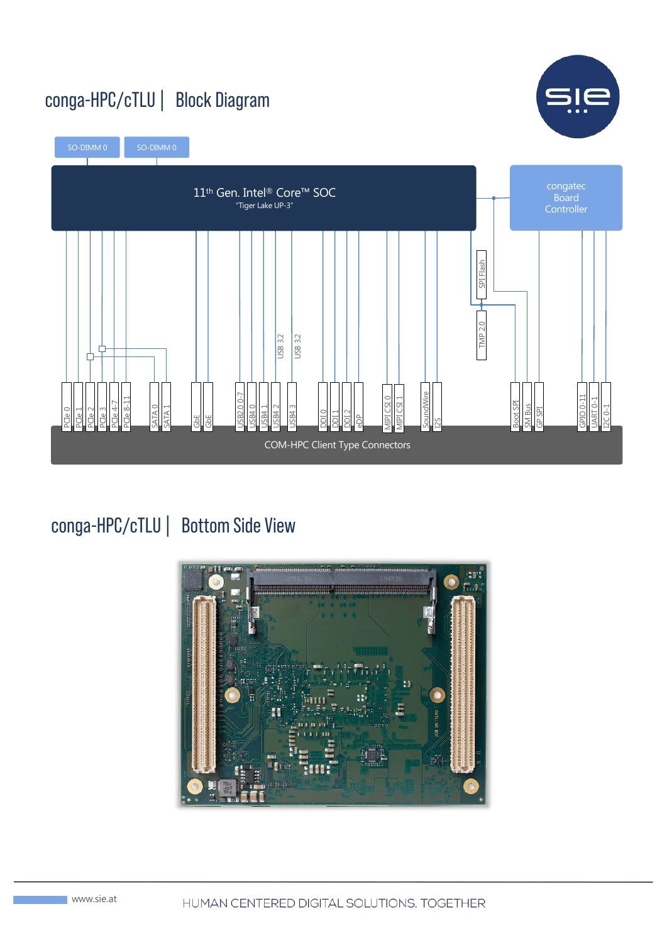### conga-HPC/cTLU | Block Diagram